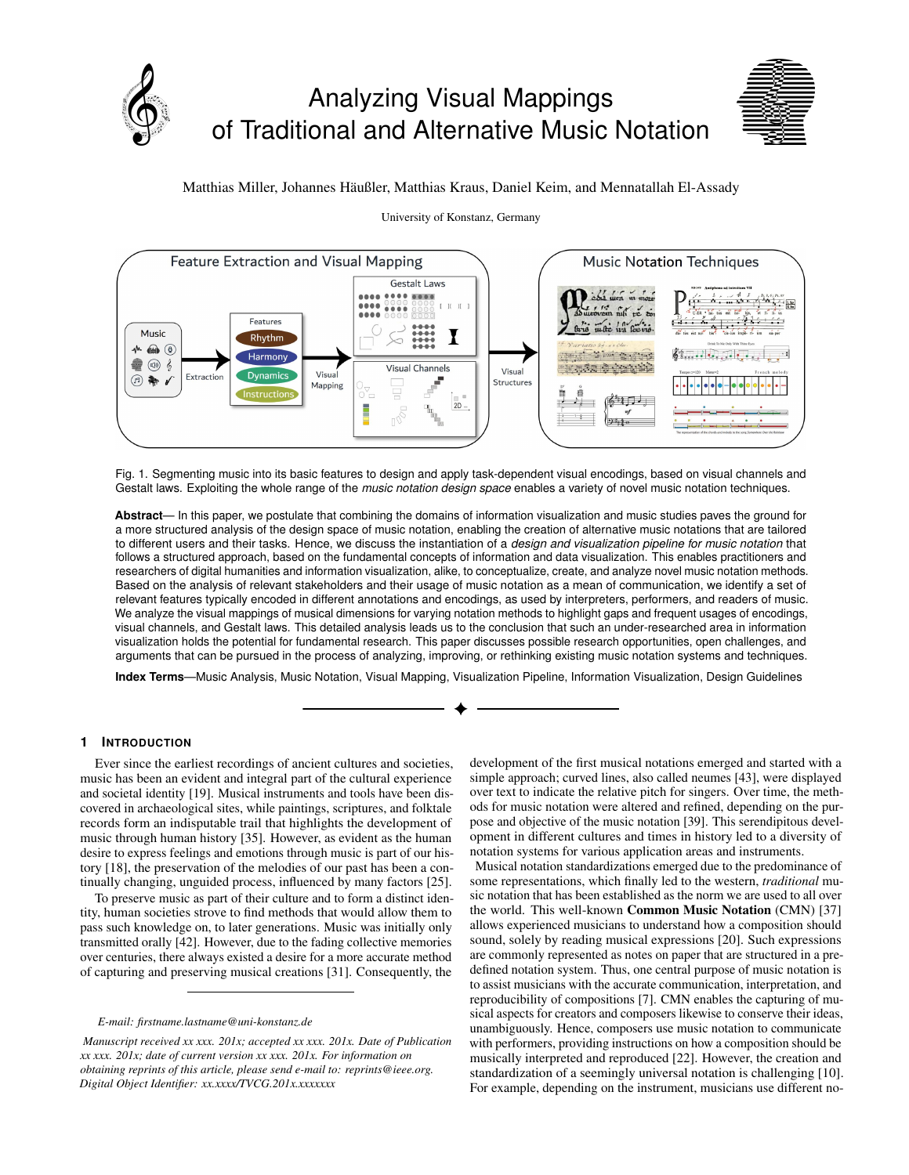



# Matthias Miller, Johannes Haußler, Matthias Kraus, Daniel Keim, and Mennatallah El-Assady ¨



## University of Konstanz, Germany

Fig. 1. Segmenting music into its basic features to design and apply task-dependent visual encodings, based on visual channels and Gestalt laws. Exploiting the whole range of the *music notation design space* enables a variety of novel music notation techniques.

**Abstract**— In this paper, we postulate that combining the domains of information visualization and music studies paves the ground for a more structured analysis of the design space of music notation, enabling the creation of alternative music notations that are tailored to different users and their tasks. Hence, we discuss the instantiation of a *design and visualization pipeline for music notation* that follows a structured approach, based on the fundamental concepts of information and data visualization. This enables practitioners and researchers of digital humanities and information visualization, alike, to conceptualize, create, and analyze novel music notation methods. Based on the analysis of relevant stakeholders and their usage of music notation as a mean of communication, we identify a set of relevant features typically encoded in different annotations and encodings, as used by interpreters, performers, and readers of music. We analyze the visual mappings of musical dimensions for varying notation methods to highlight gaps and frequent usages of encodings, visual channels, and Gestalt laws. This detailed analysis leads us to the conclusion that such an under-researched area in information visualization holds the potential for fundamental research. This paper discusses possible research opportunities, open challenges, and arguments that can be pursued in the process of analyzing, improving, or rethinking existing music notation systems and techniques.

**Index Terms**—Music Analysis, Music Notation, Visual Mapping, Visualization Pipeline, Information Visualization, Design Guidelines

## **1 INTRODUCTION**

Ever since the earliest recordings of ancient cultures and societies, music has been an evident and integral part of the cultural experience and societal identity [\[19\]](#page-4-0). Musical instruments and tools have been discovered in archaeological sites, while paintings, scriptures, and folktale records form an indisputable trail that highlights the development of music through human history [\[35\]](#page-4-1). However, as evident as the human desire to express feelings and emotions through music is part of our history [\[18\]](#page-4-2), the preservation of the melodies of our past has been a continually changing, unguided process, influenced by many factors [\[25\]](#page-4-3).

To preserve music as part of their culture and to form a distinct identity, human societies strove to find methods that would allow them to pass such knowledge on, to later generations. Music was initially only transmitted orally [\[42\]](#page-4-4). However, due to the fading collective memories over centuries, there always existed a desire for a more accurate method of capturing and preserving musical creations [\[31\]](#page-4-5). Consequently, the

*E-mail: firstname.lastname@uni-konstanz.de*

*Manuscript received xx xxx. 201x; accepted xx xxx. 201x. Date of Publication xx xxx. 201x; date of current version xx xxx. 201x. For information on obtaining reprints of this article, please send e-mail to: reprints@ieee.org. Digital Object Identifier: xx.xxxx/TVCG.201x.xxxxxxx*

development of the first musical notations emerged and started with a simple approach; curved lines, also called neumes [\[43\]](#page-4-6), were displayed over text to indicate the relative pitch for singers. Over time, the methods for music notation were altered and refined, depending on the purpose and objective of the music notation [\[39\]](#page-4-7). This serendipitous development in different cultures and times in history led to a diversity of notation systems for various application areas and instruments.

Musical notation standardizations emerged due to the predominance of some representations, which finally led to the western, *traditional* music notation that has been established as the norm we are used to all over the world. This well-known Common Music Notation (CMN) [\[37\]](#page-4-8) allows experienced musicians to understand how a composition should sound, solely by reading musical expressions [\[20\]](#page-4-9). Such expressions are commonly represented as notes on paper that are structured in a predefined notation system. Thus, one central purpose of music notation is to assist musicians with the accurate communication, interpretation, and reproducibility of compositions [\[7\]](#page-4-10). CMN enables the capturing of musical aspects for creators and composers likewise to conserve their ideas, unambiguously. Hence, composers use music notation to communicate with performers, providing instructions on how a composition should be musically interpreted and reproduced [\[22\]](#page-4-11). However, the creation and standardization of a seemingly universal notation is challenging [\[10\]](#page-4-12). For example, depending on the instrument, musicians use different no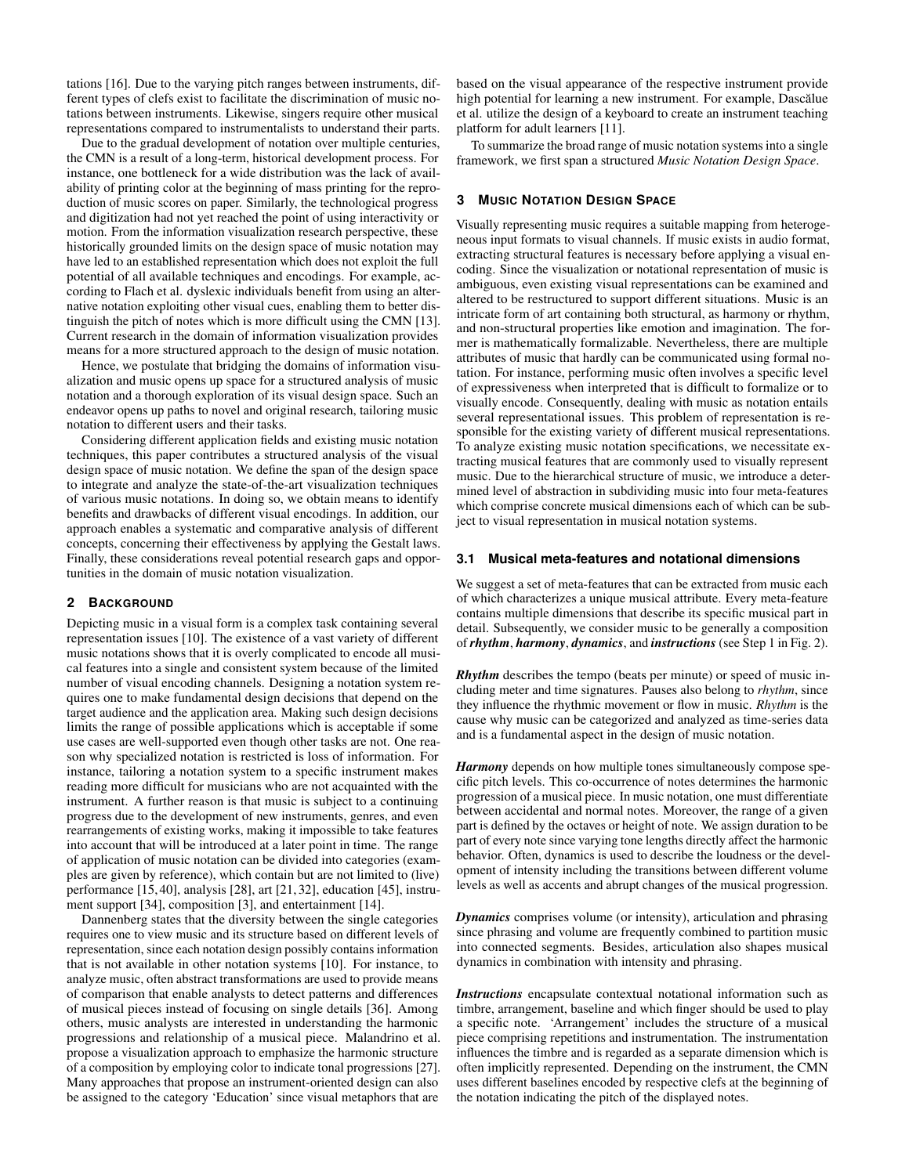tations [\[16\]](#page-4-13). Due to the varying pitch ranges between instruments, different types of clefs exist to facilitate the discrimination of music notations between instruments. Likewise, singers require other musical representations compared to instrumentalists to understand their parts.

Due to the gradual development of notation over multiple centuries, the CMN is a result of a long-term, historical development process. For instance, one bottleneck for a wide distribution was the lack of availability of printing color at the beginning of mass printing for the reproduction of music scores on paper. Similarly, the technological progress and digitization had not yet reached the point of using interactivity or motion. From the information visualization research perspective, these historically grounded limits on the design space of music notation may have led to an established representation which does not exploit the full potential of all available techniques and encodings. For example, according to Flach et al. dyslexic individuals benefit from using an alternative notation exploiting other visual cues, enabling them to better distinguish the pitch of notes which is more difficult using the CMN [\[13\]](#page-4-14). Current research in the domain of information visualization provides means for a more structured approach to the design of music notation.

Hence, we postulate that bridging the domains of information visualization and music opens up space for a structured analysis of music notation and a thorough exploration of its visual design space. Such an endeavor opens up paths to novel and original research, tailoring music notation to different users and their tasks.

Considering different application fields and existing music notation techniques, this paper contributes a structured analysis of the visual design space of music notation. We define the span of the design space to integrate and analyze the state-of-the-art visualization techniques of various music notations. In doing so, we obtain means to identify benefits and drawbacks of different visual encodings. In addition, our approach enables a systematic and comparative analysis of different concepts, concerning their effectiveness by applying the Gestalt laws. Finally, these considerations reveal potential research gaps and opportunities in the domain of music notation visualization.

## **2 BACKGROUND**

Depicting music in a visual form is a complex task containing several representation issues [\[10\]](#page-4-12). The existence of a vast variety of different music notations shows that it is overly complicated to encode all musical features into a single and consistent system because of the limited number of visual encoding channels. Designing a notation system requires one to make fundamental design decisions that depend on the target audience and the application area. Making such design decisions limits the range of possible applications which is acceptable if some use cases are well-supported even though other tasks are not. One reason why specialized notation is restricted is loss of information. For instance, tailoring a notation system to a specific instrument makes reading more difficult for musicians who are not acquainted with the instrument. A further reason is that music is subject to a continuing progress due to the development of new instruments, genres, and even rearrangements of existing works, making it impossible to take features into account that will be introduced at a later point in time. The range of application of music notation can be divided into categories (examples are given by reference), which contain but are not limited to (live) performance [\[15,](#page-4-15) [40\]](#page-4-16), analysis [\[28\]](#page-4-17), art [\[21,](#page-4-18) [32\]](#page-4-19), education [\[45\]](#page-4-20), instrument support [\[34\]](#page-4-21), composition [\[3\]](#page-4-22), and entertainment [\[14\]](#page-4-23).

Dannenberg states that the diversity between the single categories requires one to view music and its structure based on different levels of representation, since each notation design possibly contains information that is not available in other notation systems [\[10\]](#page-4-12). For instance, to analyze music, often abstract transformations are used to provide means of comparison that enable analysts to detect patterns and differences of musical pieces instead of focusing on single details [\[36\]](#page-4-24). Among others, music analysts are interested in understanding the harmonic progressions and relationship of a musical piece. Malandrino et al. propose a visualization approach to emphasize the harmonic structure of a composition by employing color to indicate tonal progressions [\[27\]](#page-4-25). Many approaches that propose an instrument-oriented design can also be assigned to the category 'Education' since visual metaphors that are

based on the visual appearance of the respective instrument provide high potential for learning a new instrument. For example, Dascălue et al. utilize the design of a keyboard to create an instrument teaching platform for adult learners [\[11\]](#page-4-26).

To summarize the broad range of music notation systems into a single framework, we first span a structured *Music Notation Design Space*.

### <span id="page-1-0"></span>**3 MUSIC NOTATION DESIGN SPACE**

Visually representing music requires a suitable mapping from heterogeneous input formats to visual channels. If music exists in audio format, extracting structural features is necessary before applying a visual encoding. Since the visualization or notational representation of music is ambiguous, even existing visual representations can be examined and altered to be restructured to support different situations. Music is an intricate form of art containing both structural, as harmony or rhythm, and non-structural properties like emotion and imagination. The former is mathematically formalizable. Nevertheless, there are multiple attributes of music that hardly can be communicated using formal notation. For instance, performing music often involves a specific level of expressiveness when interpreted that is difficult to formalize or to visually encode. Consequently, dealing with music as notation entails several representational issues. This problem of representation is responsible for the existing variety of different musical representations. To analyze existing music notation specifications, we necessitate extracting musical features that are commonly used to visually represent music. Due to the hierarchical structure of music, we introduce a determined level of abstraction in subdividing music into four meta-features which comprise concrete musical dimensions each of which can be subject to visual representation in musical notation systems.

#### <span id="page-1-1"></span>**3.1 Musical meta-features and notational dimensions**

We suggest a set of meta-features that can be extracted from music each of which characterizes a unique musical attribute. Every meta-feature contains multiple dimensions that describe its specific musical part in detail. Subsequently, we consider music to be generally a composition of *rhythm*, *harmony*, *dynamics*, and *instructions* (see Step 1 in [Fig. 2\)](#page-2-0).

*Rhythm* describes the tempo (beats per minute) or speed of music including meter and time signatures. Pauses also belong to *rhythm*, since they influence the rhythmic movement or flow in music. *Rhythm* is the cause why music can be categorized and analyzed as time-series data and is a fundamental aspect in the design of music notation.

*Harmony* depends on how multiple tones simultaneously compose specific pitch levels. This co-occurrence of notes determines the harmonic progression of a musical piece. In music notation, one must differentiate between accidental and normal notes. Moreover, the range of a given part is defined by the octaves or height of note. We assign duration to be part of every note since varying tone lengths directly affect the harmonic behavior. Often, dynamics is used to describe the loudness or the development of intensity including the transitions between different volume levels as well as accents and abrupt changes of the musical progression.

*Dynamics* comprises volume (or intensity), articulation and phrasing since phrasing and volume are frequently combined to partition music into connected segments. Besides, articulation also shapes musical dynamics in combination with intensity and phrasing.

*Instructions* encapsulate contextual notational information such as timbre, arrangement, baseline and which finger should be used to play a specific note. 'Arrangement' includes the structure of a musical piece comprising repetitions and instrumentation. The instrumentation influences the timbre and is regarded as a separate dimension which is often implicitly represented. Depending on the instrument, the CMN uses different baselines encoded by respective clefs at the beginning of the notation indicating the pitch of the displayed notes.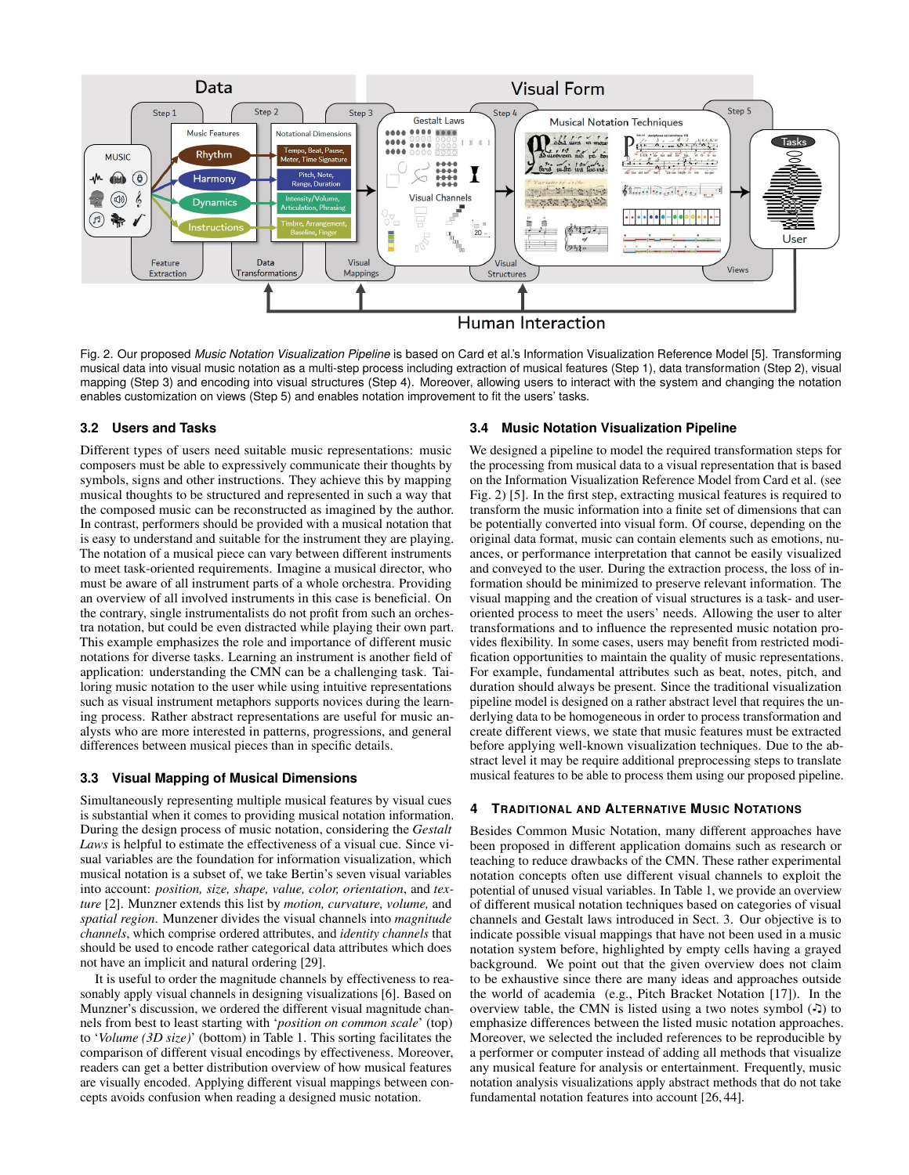

<span id="page-2-0"></span>Fig. 2. Our proposed *Music Notation Visualization Pipeline* is based on Card et al.'s Information Visualization Reference Model [\[5\]](#page-4-27). Transforming musical data into visual music notation as a multi-step process including extraction of musical features (Step 1), data transformation (Step 2), visual mapping (Step 3) and encoding into visual structures (Step 4). Moreover, allowing users to interact with the system and changing the notation enables customization on views (Step 5) and enables notation improvement to fit the users' tasks.

## **3.2 Users and Tasks**

Different types of users need suitable music representations: music composers must be able to expressively communicate their thoughts by symbols, signs and other instructions. They achieve this by mapping musical thoughts to be structured and represented in such a way that the composed music can be reconstructed as imagined by the author. In contrast, performers should be provided with a musical notation that is easy to understand and suitable for the instrument they are playing. The notation of a musical piece can vary between different instruments to meet task-oriented requirements. Imagine a musical director, who must be aware of all instrument parts of a whole orchestra. Providing an overview of all involved instruments in this case is beneficial. On the contrary, single instrumentalists do not profit from such an orchestra notation, but could be even distracted while playing their own part. This example emphasizes the role and importance of different music notations for diverse tasks. Learning an instrument is another field of application: understanding the CMN can be a challenging task. Tailoring music notation to the user while using intuitive representations such as visual instrument metaphors supports novices during the learning process. Rather abstract representations are useful for music analysts who are more interested in patterns, progressions, and general differences between musical pieces than in specific details.

### **3.3 Visual Mapping of Musical Dimensions**

Simultaneously representing multiple musical features by visual cues is substantial when it comes to providing musical notation information. During the design process of music notation, considering the *Gestalt Laws* is helpful to estimate the effectiveness of a visual cue. Since visual variables are the foundation for information visualization, which musical notation is a subset of, we take Bertin's seven visual variables into account: *position, size, shape, value, color, orientation*, and *texture* [\[2\]](#page-4-28). Munzner extends this list by *motion, curvature, volume,* and *spatial region*. Munzener divides the visual channels into *magnitude channels*, which comprise ordered attributes, and *identity channels* that should be used to encode rather categorical data attributes which does not have an implicit and natural ordering [\[29\]](#page-4-29).

It is useful to order the magnitude channels by effectiveness to reasonably apply visual channels in designing visualizations [\[6\]](#page-4-30). Based on Munzner's discussion, we ordered the different visual magnitude channels from best to least starting with '*position on common scale*' (top) to '*Volume (3D size)*' (bottom) in [Table 1.](#page-3-0) This sorting facilitates the comparison of different visual encodings by effectiveness. Moreover, readers can get a better distribution overview of how musical features are visually encoded. Applying different visual mappings between concepts avoids confusion when reading a designed music notation.

#### **3.4 Music Notation Visualization Pipeline**

We designed a pipeline to model the required transformation steps for the processing from musical data to a visual representation that is based on the Information Visualization Reference Model from Card et al. (see [Fig. 2\)](#page-2-0) [\[5\]](#page-4-27). In the first step, extracting musical features is required to transform the music information into a finite set of dimensions that can be potentially converted into visual form. Of course, depending on the original data format, music can contain elements such as emotions, nuances, or performance interpretation that cannot be easily visualized and conveyed to the user. During the extraction process, the loss of information should be minimized to preserve relevant information. The visual mapping and the creation of visual structures is a task- and useroriented process to meet the users' needs. Allowing the user to alter transformations and to influence the represented music notation provides flexibility. In some cases, users may benefit from restricted modification opportunities to maintain the quality of music representations. For example, fundamental attributes such as beat, notes, pitch, and duration should always be present. Since the traditional visualization pipeline model is designed on a rather abstract level that requires the underlying data to be homogeneous in order to process transformation and create different views, we state that music features must be extracted before applying well-known visualization techniques. Due to the abstract level it may be require additional preprocessing steps to translate musical features to be able to process them using our proposed pipeline.

# **4 TRADITIONAL AND ALTERNATIVE MUSIC NOTATIONS**

Besides Common Music Notation, many different approaches have been proposed in different application domains such as research or teaching to reduce drawbacks of the CMN. These rather experimental notation concepts often use different visual channels to exploit the potential of unused visual variables. In [Table 1,](#page-3-0) we provide an overview of different musical notation techniques based on categories of visual channels and Gestalt laws introduced in [Sect. 3.](#page-1-0) Our objective is to indicate possible visual mappings that have not been used in a music notation system before, highlighted by empty cells having a grayed background. We point out that the given overview does not claim to be exhaustive since there are many ideas and approaches outside the world of academia (e.g., Pitch Bracket Notation [\[17\]](#page-4-31)). In the overview table, the CMN is listed using a two notes symbol  $(\cdot)$  to emphasize differences between the listed music notation approaches. Moreover, we selected the included references to be reproducible by a performer or computer instead of adding all methods that visualize any musical feature for analysis or entertainment. Frequently, music notation analysis visualizations apply abstract methods that do not take fundamental notation features into account [\[26,](#page-4-32) [44\]](#page-4-33).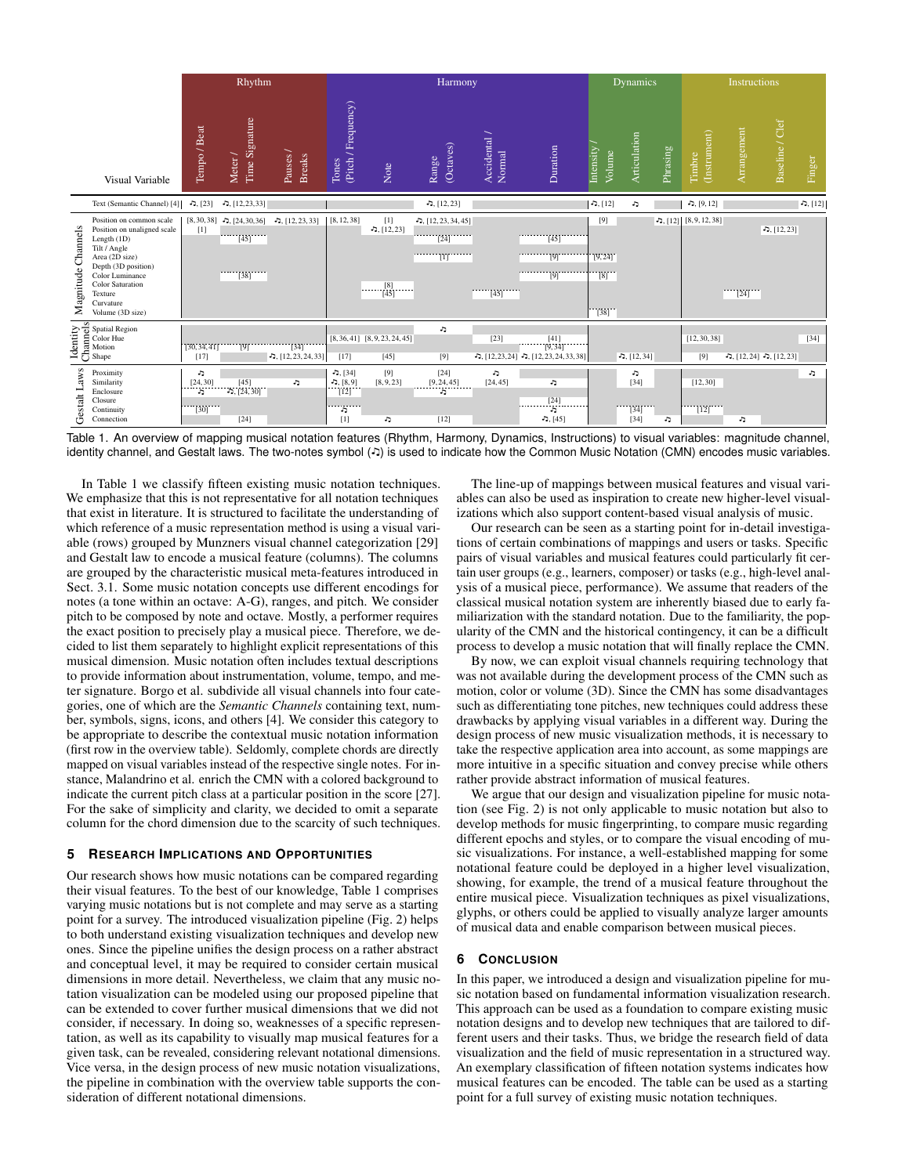|                       |                                                                                                                                                                                                                           | Rhythm                                                                 |                                                   |                                  | Harmony                                         |                                                    |                                                                                                                                                              |                        |                                                        | <b>Dynamics</b>                                             |                                |          | Instructions                                                   |                        |                                               |           |
|-----------------------|---------------------------------------------------------------------------------------------------------------------------------------------------------------------------------------------------------------------------|------------------------------------------------------------------------|---------------------------------------------------|----------------------------------|-------------------------------------------------|----------------------------------------------------|--------------------------------------------------------------------------------------------------------------------------------------------------------------|------------------------|--------------------------------------------------------|-------------------------------------------------------------|--------------------------------|----------|----------------------------------------------------------------|------------------------|-----------------------------------------------|-----------|
|                       | Visual Variable                                                                                                                                                                                                           | Tempo / Beat                                                           | Time Signature<br>Meter /                         | Pauses /<br><b>Breaks</b>        | (Pitch / Frequency)<br>Tones                    | Note                                               | (Octaves)<br>Range                                                                                                                                           | Accidental /<br>Normal | Duration                                               | Intensity<br>Volume                                         | Articulation                   | Phrasing | (Instrument)<br>Timbre                                         | Arrangement            | Baseline / Clef                               | Finger    |
|                       | Text (Semantic Channel) [4]                                                                                                                                                                                               | $-5, [23]$                                                             | $-1, [12, 23, 33]$                                |                                  |                                                 |                                                    | $-1, [12, 23]$                                                                                                                                               |                        |                                                        | $-5, [12]$                                                  | J,                             |          | $-5, [9, 12]$                                                  |                        |                                               | ה, $[12]$ |
| Channels<br>Magnitude | Position on common scale<br>Position on unaligned scale<br>Length (1D)<br>Tilt / Angle<br>Area (2D size)<br>Depth (3D position)<br>Color Luminance<br><b>Color Saturation</b><br>Texture<br>Curvature<br>Volume (3D size) | $[1]$                                                                  | $[8, 30, 38]$ - 5, $[24, 30, 36]$<br>[45]<br>[38] | $-1, [12, 23, 33]$               | [8, 12, 38]                                     | $[1]$<br>$-5, [12, 23]$<br>$\frac{[8]}{[45]}$<br>. | $-$ , [12, 23, 34, 45]<br>$\overline{124}$<br>minimiana a fara a fara a fara a fara a fara an fara an fara an fara an fara an fara an fara an fhara ann an f | [45]                   | $\overline{145}$<br>[9]<br>$\overline{19}$             | [9]<br>[9, 24]<br>[8]<br>$\begin{bmatrix} 38 \end{bmatrix}$ |                                |          | $\Box$ , [12] [8, 9, 12, 38]                                   | $\cdots$ [24] $\cdots$ | $-1, [12, 23]$                                |           |
|                       | Figure Spatial Region<br>Elector Hue<br>Del Motion<br>Del Shape<br>Shape                                                                                                                                                  | [30, 34, 41]<br>$[17]$                                                 | $\overline{191}$                                  | $[34]$<br>$-$ , [12, 23, 24, 33] | [17]                                            | $[8, 36, 41]$ $[8, 9, 23, 24, 45]$<br>$[45]$       | J,<br>[9]                                                                                                                                                    | [23]                   | $\frac{[41]}{[9,34]}$<br>$\Box$ , [12, 23, 24, 33, 38] |                                                             | $-1, [12, 34]$                 |          | [12, 30, 38]<br>[9]                                            |                        | $\mathbf{D}, [12, 24]$ $\mathbf{D}, [12, 23]$ | $[34]$    |
| Gestalt Laws          | Proximity<br>Similarity<br>Enclosure<br>Closure<br>Continuity<br>Connection                                                                                                                                               | J,<br>$\begin{matrix} [24,30] \\ 5 \end{matrix}$<br>$\frac{1}{2}$ [30] | $[45]$<br>3, $[24, 30]$<br>[24]                   | t,                               | $-7, [34]$<br>ת.<br>[12]<br>[12]<br>J,<br>$[1]$ | [9]<br>[8, 9, 23]<br>J.                            | $[24]$<br>$\begin{bmatrix} 9,24,45 \\ 1,1 \end{bmatrix}$<br>$[12]$                                                                                           | J.<br>[24, 45]         | J,<br>$[24]$<br>Ъ<br>$-5, [45]$                        |                                                             | J,<br>$[34]$<br>[34]<br>$[34]$ | J,       | [12, 30]<br>$\overline{1}\overline{1}\overline{2}\overline{1}$ | J.                     |                                               | J,        |

<span id="page-3-0"></span>Table 1. An overview of mapping musical notation features (Rhythm, Harmony, Dynamics, Instructions) to visual variables: magnitude channel, identity channel, and Gestalt laws. The two-notes symbol (-D) is used to indicate how the Common Music Notation (CMN) encodes music variables.

In [Table 1](#page-3-0) we classify fifteen existing music notation techniques. We emphasize that this is not representative for all notation techniques that exist in literature. It is structured to facilitate the understanding of which reference of a music representation method is using a visual variable (rows) grouped by Munzners visual channel categorization [\[29\]](#page-4-29) and Gestalt law to encode a musical feature (columns). The columns are grouped by the characteristic musical meta-features introduced in [Sect. 3.1.](#page-1-1) Some music notation concepts use different encodings for notes (a tone within an octave: A-G), ranges, and pitch. We consider pitch to be composed by note and octave. Mostly, a performer requires the exact position to precisely play a musical piece. Therefore, we decided to list them separately to highlight explicit representations of this musical dimension. Music notation often includes textual descriptions to provide information about instrumentation, volume, tempo, and meter signature. Borgo et al. subdivide all visual channels into four categories, one of which are the *Semantic Channels* containing text, number, symbols, signs, icons, and others [\[4\]](#page-4-34). We consider this category to be appropriate to describe the contextual music notation information (first row in the overview table). Seldomly, complete chords are directly mapped on visual variables instead of the respective single notes. For instance, Malandrino et al. enrich the CMN with a colored background to indicate the current pitch class at a particular position in the score [\[27\]](#page-4-25). For the sake of simplicity and clarity, we decided to omit a separate column for the chord dimension due to the scarcity of such techniques.

## **5 RESEARCH IMPLICATIONS AND OPPORTUNITIES**

Our research shows how music notations can be compared regarding their visual features. To the best of our knowledge, [Table 1](#page-3-0) comprises varying music notations but is not complete and may serve as a starting point for a survey. The introduced visualization pipeline (Fig. [2\)](#page-2-0) helps to both understand existing visualization techniques and develop new ones. Since the pipeline unifies the design process on a rather abstract and conceptual level, it may be required to consider certain musical dimensions in more detail. Nevertheless, we claim that any music notation visualization can be modeled using our proposed pipeline that can be extended to cover further musical dimensions that we did not consider, if necessary. In doing so, weaknesses of a specific representation, as well as its capability to visually map musical features for a given task, can be revealed, considering relevant notational dimensions. Vice versa, in the design process of new music notation visualizations, the pipeline in combination with the overview table supports the consideration of different notational dimensions.

The line-up of mappings between musical features and visual variables can also be used as inspiration to create new higher-level visualizations which also support content-based visual analysis of music.

Our research can be seen as a starting point for in-detail investigations of certain combinations of mappings and users or tasks. Specific pairs of visual variables and musical features could particularly fit certain user groups (e.g., learners, composer) or tasks (e.g., high-level analysis of a musical piece, performance). We assume that readers of the classical musical notation system are inherently biased due to early familiarization with the standard notation. Due to the familiarity, the popularity of the CMN and the historical contingency, it can be a difficult process to develop a music notation that will finally replace the CMN.

By now, we can exploit visual channels requiring technology that was not available during the development process of the CMN such as motion, color or volume (3D). Since the CMN has some disadvantages such as differentiating tone pitches, new techniques could address these drawbacks by applying visual variables in a different way. During the design process of new music visualization methods, it is necessary to take the respective application area into account, as some mappings are more intuitive in a specific situation and convey precise while others rather provide abstract information of musical features.

We argue that our design and visualization pipeline for music notation (see [Fig. 2\)](#page-2-0) is not only applicable to music notation but also to develop methods for music fingerprinting, to compare music regarding different epochs and styles, or to compare the visual encoding of music visualizations. For instance, a well-established mapping for some notational feature could be deployed in a higher level visualization, showing, for example, the trend of a musical feature throughout the entire musical piece. Visualization techniques as pixel visualizations, glyphs, or others could be applied to visually analyze larger amounts of musical data and enable comparison between musical pieces.

### **6 CONCLUSION**

In this paper, we introduced a design and visualization pipeline for music notation based on fundamental information visualization research. This approach can be used as a foundation to compare existing music notation designs and to develop new techniques that are tailored to different users and their tasks. Thus, we bridge the research field of data visualization and the field of music representation in a structured way. An exemplary classification of fifteen notation systems indicates how musical features can be encoded. The table can be used as a starting point for a full survey of existing music notation techniques.